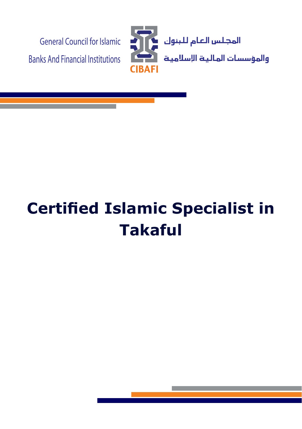

# **Certified Islamic Specialist in Takaful**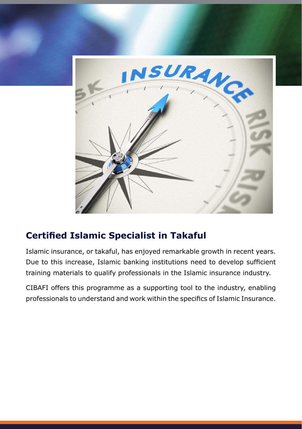

## **Certified Islamic Specialist in Takaful**

Islamic insurance, or takaful, has enjoyed remarkable growth in recent years. Due to this increase, Islamic banking institutions need to develop sufficient training materials to qualify professionals in the Islamic insurance industry.

CIBAFI offers this programme as a supporting tool to the industry, enabling professionals to understand and work within the specifics of Islamic Insurance.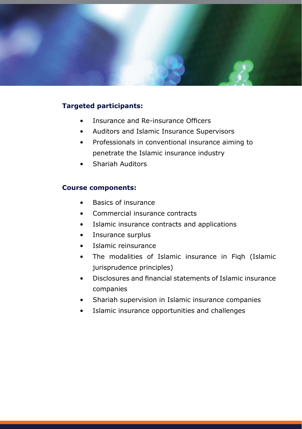

### **Targeted participants:**

- Insurance and Re-insurance Officers
- Auditors and Islamic Insurance Supervisors
- Professionals in conventional insurance aiming to penetrate the Islamic insurance industry
- Shariah Auditors

#### **Course components:**

- Basics of insurance
- Commercial insurance contracts
- Islamic insurance contracts and applications
- Insurance surplus
- Islamic reinsurance
- The modalities of Islamic insurance in Figh (Islamic iurisprudence principles)
- Disclosures and financial statements of Islamic insurance companies
- Shariah supervision in Islamic insurance companies
- Islamic insurance opportunities and challenges